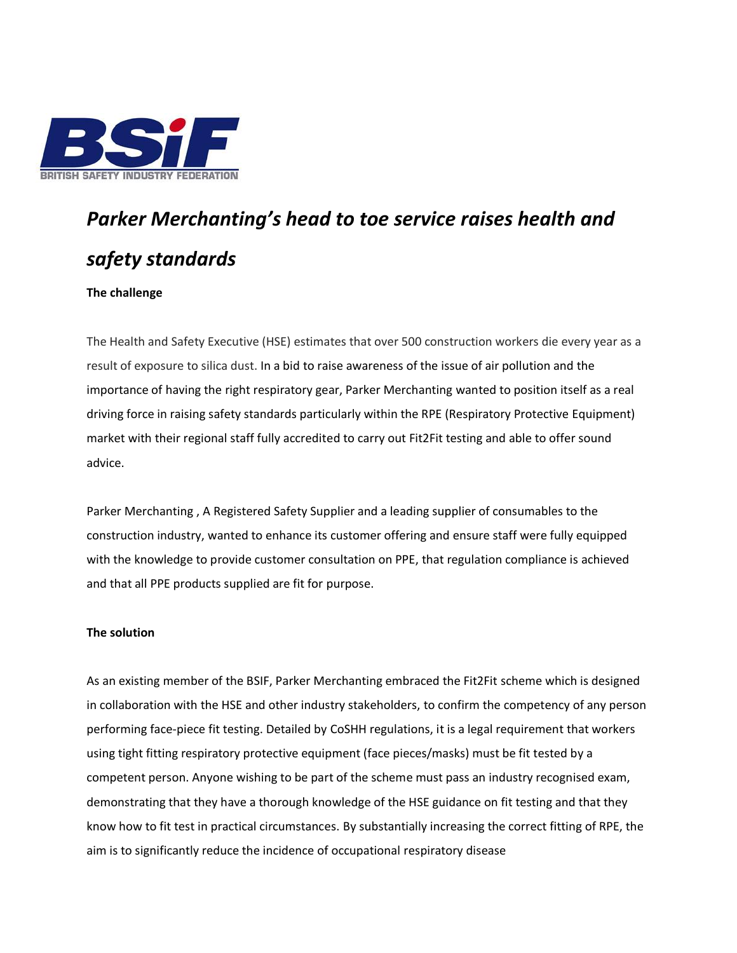

## *Parker Merchanting's head to toe service raises health and safety standards*

## **The challenge**

The Health and Safety Executive (HSE) estimates that over 500 construction workers die every year as a result of exposure to silica dust. In a bid to raise awareness of the issue of air pollution and the importance of having the right respiratory gear, Parker Merchanting wanted to position itself as a real driving force in raising safety standards particularly within the RPE (Respiratory Protective Equipment) market with their regional staff fully accredited to carry out Fit2Fit testing and able to offer sound advice.

Parker Merchanting , A Registered Safety Supplier and a leading supplier of consumables to the construction industry, wanted to enhance its customer offering and ensure staff were fully equipped with the knowledge to provide customer consultation on PPE, that regulation compliance is achieved and that all PPE products supplied are fit for purpose.

## **The solution**

As an existing member of the BSIF, Parker Merchanting embraced the Fit2Fit scheme which is designed in collaboration with the HSE and other industry stakeholders, to confirm the competency of any person performing face-piece fit testing. Detailed by CoSHH regulations, it is a legal requirement that workers using tight fitting respiratory protective equipment (face pieces/masks) must be fit tested by a competent person. Anyone wishing to be part of the scheme must pass an industry recognised exam, demonstrating that they have a thorough knowledge of the HSE guidance on fit testing and that they know how to fit test in practical circumstances. By substantially increasing the correct fitting of RPE, the aim is to significantly reduce the incidence of occupational respiratory disease